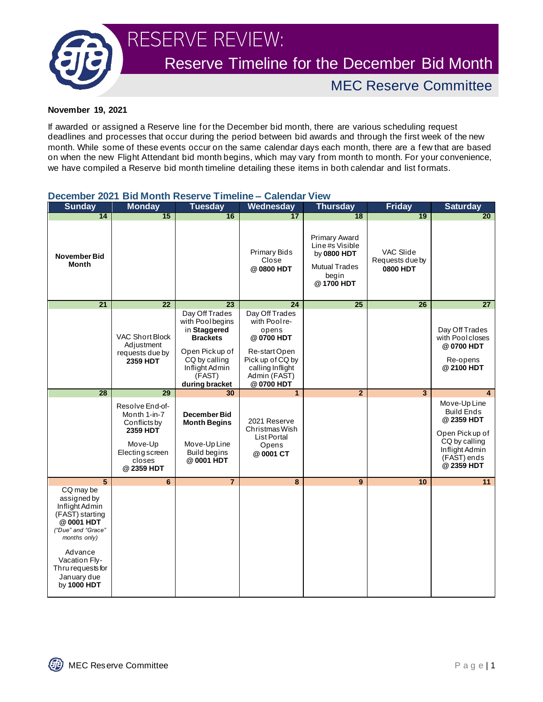Reserve Timeline for the December Bid Month RESERVE REVIEW: MEC Reserve Committee

## **November 19, 2021**

If awarded or assigned a Reserve line for the December bid month, there are various scheduling request deadlines and processes that occur during the period between bid awards and through the first week of the new month. While some of these events occur on the same calendar days each month, there are a few that are based on when the new Flight Attendant bid month begins, which may vary from month to month. For your convenience, we have compiled a Reserve bid month timeline detailing these items in both calendar and list formats.

| <b>Sunday</b>                                                                                                                                                                                  | ---<br><b>Monday</b>                                                                                             | .<br><b>Tuesday</b>                                                                                                                                   | zuvraa<br>Wednesday                                                                                                                         | <b>Thursday</b>                                                                                     | <b>Friday</b>                                   | <b>Saturday</b>                                                                                                                   |
|------------------------------------------------------------------------------------------------------------------------------------------------------------------------------------------------|------------------------------------------------------------------------------------------------------------------|-------------------------------------------------------------------------------------------------------------------------------------------------------|---------------------------------------------------------------------------------------------------------------------------------------------|-----------------------------------------------------------------------------------------------------|-------------------------------------------------|-----------------------------------------------------------------------------------------------------------------------------------|
| 14                                                                                                                                                                                             | 15                                                                                                               | 16                                                                                                                                                    | 17                                                                                                                                          | 18                                                                                                  | $\overline{19}$                                 | $\overline{20}$                                                                                                                   |
| <b>November Bid</b><br><b>Month</b>                                                                                                                                                            |                                                                                                                  |                                                                                                                                                       | <b>Primary Bids</b><br>Close<br>@0800 HDT                                                                                                   | <b>Primary Award</b><br>Line#s Visible<br>by 0800 HDT<br><b>Mutual Trades</b><br>begin<br>@1700 HDT | VAC Slide<br>Requests due by<br><b>0800 HDT</b> |                                                                                                                                   |
| 21                                                                                                                                                                                             | 22                                                                                                               | 23                                                                                                                                                    | 24                                                                                                                                          | $\overline{25}$                                                                                     | 26                                              | 27                                                                                                                                |
|                                                                                                                                                                                                | <b>VAC Short Block</b><br>Adjustment<br>requests due by<br>2359 HDT                                              | Day Off Trades<br>with Poolbegins<br>in Staggered<br><b>Brackets</b><br>Open Pickup of<br>CQ by calling<br>Inflight Admin<br>(FAST)<br>during bracket | Day Off Trades<br>with Pool re-<br>opens<br>@0700 HDT<br>Re-start Open<br>Pick up of CQ by<br>calling Inflight<br>Admin (FAST)<br>@0700 HDT |                                                                                                     |                                                 | Day Off Trades<br>with Pool closes<br>@0700 HDT<br>Re-opens<br>@2100 HDT                                                          |
| $\overline{28}$                                                                                                                                                                                | $\overline{29}$                                                                                                  | 30                                                                                                                                                    | $\mathbf{1}$                                                                                                                                | $\overline{2}$                                                                                      | 3                                               | $\overline{\mathbf{4}}$                                                                                                           |
|                                                                                                                                                                                                | Resolve End-of-<br>Month 1-in-7<br>Conflicts by<br>2359 HDT<br>Move-Up<br>Electing screen<br>closes<br>@2359 HDT | <b>December Bid</b><br><b>Month Begins</b><br>Move-Up Line<br>Build begins<br>@0001 HDT                                                               | 2021 Reserve<br>Christmas Wish<br><b>List Portal</b><br>Opens<br>@0001 CT                                                                   |                                                                                                     |                                                 | Move-Up Line<br><b>Build Ends</b><br>@2359 HDT<br>Open Pick up of<br>CQ by calling<br>Inflight Admin<br>(FAST) ends<br>@ 2359 HDT |
| $\overline{5}$                                                                                                                                                                                 | $6\phantom{a}$                                                                                                   | $\overline{7}$                                                                                                                                        | 8                                                                                                                                           | 9                                                                                                   | 10                                              | $\overline{11}$                                                                                                                   |
| CQ may be<br>assigned by<br>Inflight Admin<br>(FAST) starting<br>@0001 HDT<br>"Due" and "Grace"<br>months only)<br>Advance<br>Vacation Fly-<br>Thru requests for<br>January due<br>by 1000 HDT |                                                                                                                  |                                                                                                                                                       |                                                                                                                                             |                                                                                                     |                                                 |                                                                                                                                   |

## **December 2021 Bid Month Reserve Timeline – Calendar View**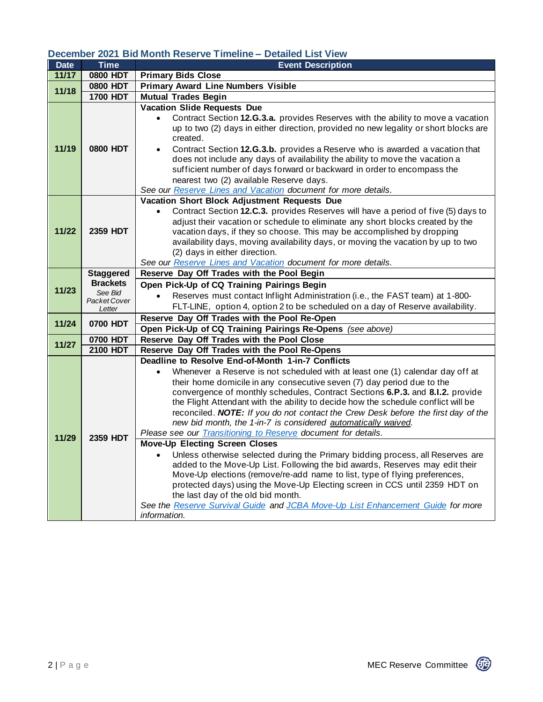## **December 2021 Bid Month Reserve Timeline – Detailed List View**

| <b>Date</b> | <b>Time</b>                                                   | <b>Event Description</b>                                                                                                                                                                                                                                                                                                                                                                                                                                                                                                                                                                                                                                                                                                                                                                                                                                                                                                                                                                                                                                                                                                            |  |  |  |  |  |
|-------------|---------------------------------------------------------------|-------------------------------------------------------------------------------------------------------------------------------------------------------------------------------------------------------------------------------------------------------------------------------------------------------------------------------------------------------------------------------------------------------------------------------------------------------------------------------------------------------------------------------------------------------------------------------------------------------------------------------------------------------------------------------------------------------------------------------------------------------------------------------------------------------------------------------------------------------------------------------------------------------------------------------------------------------------------------------------------------------------------------------------------------------------------------------------------------------------------------------------|--|--|--|--|--|
| 11/17       | <b>0800 HDT</b>                                               | <b>Primary Bids Close</b>                                                                                                                                                                                                                                                                                                                                                                                                                                                                                                                                                                                                                                                                                                                                                                                                                                                                                                                                                                                                                                                                                                           |  |  |  |  |  |
| 11/18       | <b>0800 HDT</b>                                               | <b>Primary Award Line Numbers Visible</b>                                                                                                                                                                                                                                                                                                                                                                                                                                                                                                                                                                                                                                                                                                                                                                                                                                                                                                                                                                                                                                                                                           |  |  |  |  |  |
|             | <b>1700 HDT</b>                                               | <b>Mutual Trades Begin</b>                                                                                                                                                                                                                                                                                                                                                                                                                                                                                                                                                                                                                                                                                                                                                                                                                                                                                                                                                                                                                                                                                                          |  |  |  |  |  |
| 11/19       |                                                               | Vacation Slide Requests Due                                                                                                                                                                                                                                                                                                                                                                                                                                                                                                                                                                                                                                                                                                                                                                                                                                                                                                                                                                                                                                                                                                         |  |  |  |  |  |
|             | <b>0800 HDT</b>                                               | Contract Section 12.G.3.a. provides Reserves with the ability to move a vacation<br>$\bullet$<br>up to two (2) days in either direction, provided no new legality or short blocks are<br>created.                                                                                                                                                                                                                                                                                                                                                                                                                                                                                                                                                                                                                                                                                                                                                                                                                                                                                                                                   |  |  |  |  |  |
|             |                                                               | Contract Section 12.G.3.b. provides a Reserve who is awarded a vacation that<br>$\bullet$<br>does not include any days of availability the ability to move the vacation a<br>sufficient number of days forward or backward in order to encompass the<br>nearest two (2) available Reserve days.                                                                                                                                                                                                                                                                                                                                                                                                                                                                                                                                                                                                                                                                                                                                                                                                                                     |  |  |  |  |  |
|             |                                                               | See our Reserve Lines and Vacation document for more details.                                                                                                                                                                                                                                                                                                                                                                                                                                                                                                                                                                                                                                                                                                                                                                                                                                                                                                                                                                                                                                                                       |  |  |  |  |  |
|             |                                                               | Vacation Short Block Adjustment Requests Due                                                                                                                                                                                                                                                                                                                                                                                                                                                                                                                                                                                                                                                                                                                                                                                                                                                                                                                                                                                                                                                                                        |  |  |  |  |  |
| 11/22       | 2359 HDT                                                      | Contract Section 12.C.3. provides Reserves will have a period of five (5) days to<br>$\bullet$<br>adjust their vacation or schedule to eliminate any short blocks created by the<br>vacation days, if they so choose. This may be accomplished by dropping<br>availability days, moving availability days, or moving the vacation by up to two<br>(2) days in either direction.<br>See our Reserve Lines and Vacation document for more details.                                                                                                                                                                                                                                                                                                                                                                                                                                                                                                                                                                                                                                                                                    |  |  |  |  |  |
|             | <b>Staggered</b>                                              | Reserve Day Off Trades with the Pool Begin                                                                                                                                                                                                                                                                                                                                                                                                                                                                                                                                                                                                                                                                                                                                                                                                                                                                                                                                                                                                                                                                                          |  |  |  |  |  |
|             | <b>Brackets</b><br>Open Pick-Up of CQ Training Pairings Begin |                                                                                                                                                                                                                                                                                                                                                                                                                                                                                                                                                                                                                                                                                                                                                                                                                                                                                                                                                                                                                                                                                                                                     |  |  |  |  |  |
| 11/23       | See Bid<br>Packet Cover<br>Letter                             | Reserves must contact Inflight Administration (i.e., the FAST team) at 1-800-<br>$\bullet$                                                                                                                                                                                                                                                                                                                                                                                                                                                                                                                                                                                                                                                                                                                                                                                                                                                                                                                                                                                                                                          |  |  |  |  |  |
|             |                                                               | FLT-LINE, option 4, option 2 to be scheduled on a day of Reserve availability.                                                                                                                                                                                                                                                                                                                                                                                                                                                                                                                                                                                                                                                                                                                                                                                                                                                                                                                                                                                                                                                      |  |  |  |  |  |
| 11/24       | 0700 HDT                                                      | Reserve Day Off Trades with the Pool Re-Open                                                                                                                                                                                                                                                                                                                                                                                                                                                                                                                                                                                                                                                                                                                                                                                                                                                                                                                                                                                                                                                                                        |  |  |  |  |  |
|             |                                                               | Open Pick-Up of CQ Training Pairings Re-Opens (see above)                                                                                                                                                                                                                                                                                                                                                                                                                                                                                                                                                                                                                                                                                                                                                                                                                                                                                                                                                                                                                                                                           |  |  |  |  |  |
| 11/27       | 0700 HDT                                                      | Reserve Day Off Trades with the Pool Close                                                                                                                                                                                                                                                                                                                                                                                                                                                                                                                                                                                                                                                                                                                                                                                                                                                                                                                                                                                                                                                                                          |  |  |  |  |  |
|             | <b>2100 HDT</b>                                               | Reserve Day Off Trades with the Pool Re-Opens                                                                                                                                                                                                                                                                                                                                                                                                                                                                                                                                                                                                                                                                                                                                                                                                                                                                                                                                                                                                                                                                                       |  |  |  |  |  |
| 11/29       | 2359 HDT                                                      | Deadline to Resolve End-of-Month 1-in-7 Conflicts<br>Whenever a Reserve is not scheduled with at least one (1) calendar day off at<br>$\bullet$<br>their home domicile in any consecutive seven (7) day period due to the<br>convergence of monthly schedules, Contract Sections 6.P.3. and 8.I.2. provide<br>the Flight Attendant with the ability to decide how the schedule conflict will be<br>reconciled. NOTE: If you do not contact the Crew Desk before the first day of the<br>new bid month, the 1-in-7 is considered automatically waived.<br>Please see our Transitioning to Reserve document for details.<br><b>Move-Up Electing Screen Closes</b><br>Unless otherwise selected during the Primary bidding process, all Reserves are<br>$\bullet$<br>added to the Move-Up List. Following the bid awards, Reserves may edit their<br>Move-Up elections (remove/re-add name to list, type of flying preferences,<br>protected days) using the Move-Up Electing screen in CCS until 2359 HDT on<br>the last day of the old bid month.<br>See the Reserve Survival Guide and JCBA Move-Up List Enhancement Guide for more |  |  |  |  |  |
|             |                                                               | information.                                                                                                                                                                                                                                                                                                                                                                                                                                                                                                                                                                                                                                                                                                                                                                                                                                                                                                                                                                                                                                                                                                                        |  |  |  |  |  |